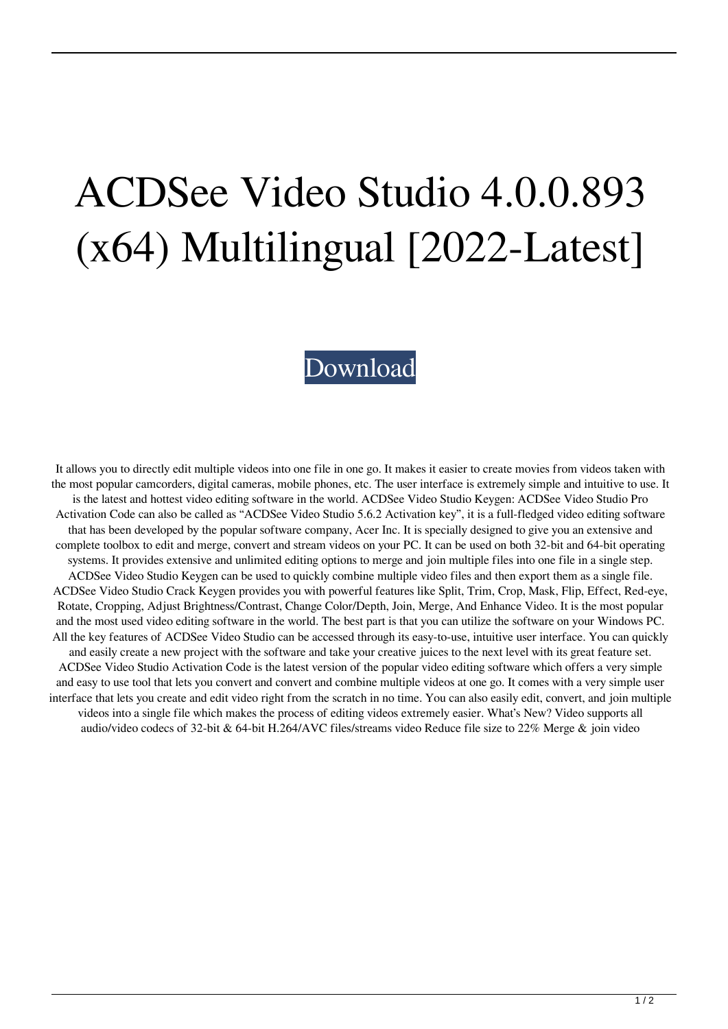## ACDSee Video Studio 4.0.0.893 (x64) Multilingual [2022-Latest]

## [Download](http://evacdir.com/watching/bandwith.forest/cynical.decorative.QUNEU2VlIFZpZGVvIFN0dWRpbyA0LjAuMC44OTMgKHg2NCkgTXVsdGlsaW5ndWFsQUN.manage.ZG93bmxvYWR8M3lCTVdaak9IeDhNVFkxTWpRMk16QTFNSHg4TWpVM05IeDhLRTBwSUhKbFlXUXRZbXh2WnlCYlJtRnpkQ0JIUlU1ZA)

It allows you to directly edit multiple videos into one file in one go. It makes it easier to create movies from videos taken with the most popular camcorders, digital cameras, mobile phones, etc. The user interface is extremely simple and intuitive to use. It is the latest and hottest video editing software in the world. ACDSee Video Studio Keygen: ACDSee Video Studio Pro Activation Code can also be called as "ACDSee Video Studio 5.6.2 Activation key", it is a full-fledged video editing software that has been developed by the popular software company, Acer Inc. It is specially designed to give you an extensive and complete toolbox to edit and merge, convert and stream videos on your PC. It can be used on both 32-bit and 64-bit operating systems. It provides extensive and unlimited editing options to merge and join multiple files into one file in a single step. ACDSee Video Studio Keygen can be used to quickly combine multiple video files and then export them as a single file. ACDSee Video Studio Crack Keygen provides you with powerful features like Split, Trim, Crop, Mask, Flip, Effect, Red-eye, Rotate, Cropping, Adjust Brightness/Contrast, Change Color/Depth, Join, Merge, And Enhance Video. It is the most popular and the most used video editing software in the world. The best part is that you can utilize the software on your Windows PC. All the key features of ACDSee Video Studio can be accessed through its easy-to-use, intuitive user interface. You can quickly and easily create a new project with the software and take your creative juices to the next level with its great feature set. ACDSee Video Studio Activation Code is the latest version of the popular video editing software which offers a very simple and easy to use tool that lets you convert and convert and combine multiple videos at one go. It comes with a very simple user interface that lets you create and edit video right from the scratch in no time. You can also easily edit, convert, and join multiple videos into a single file which makes the process of editing videos extremely easier. What's New? Video supports all audio/video codecs of 32-bit & 64-bit H.264/AVC files/streams video Reduce file size to 22% Merge & join video